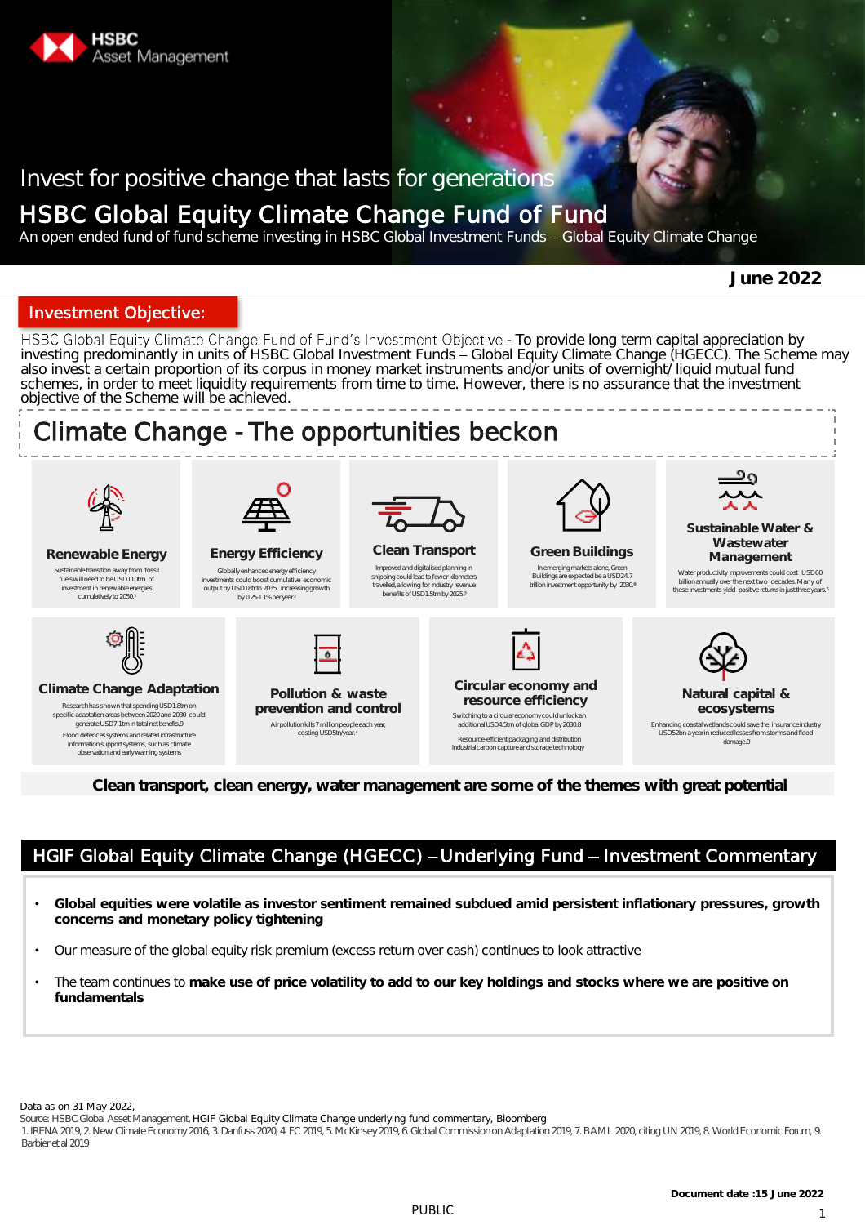

## Invest for positive change that lasts for generations

## HSBC Global Equity Climate Change Fund of Fund

An open ended fund of fund scheme investing in HSBC Global Investment Funds - Global Equity Climate Change

**June 2022**

### Investment Objective:

HSBC Global Equity Climate Change Fund of Fund's Investment Objective - To provide long term capital appreciation by investing predominantly in units of HSBC Global Investment Funds - Global Equity Climate Change (HGECC). The Scheme may also invest a certain proportion of its corpus in money market instruments and/or units of overnight/ liquid mutual fund schemes, in order to meet liquidity requirements from time to time. However, there is no assurance that the investment objective of the Scheme will be achieved.



**Clean transport, clean energy, water management are some of the themes with great potential**

### HGIF Global Equity Climate Change (HGECC) - Underlying Fund - Investment Commentary

- **Global equities were volatile as investor sentiment remained subdued amid persistent inflationary pressures, growth concerns and monetary policy tightening**
- Our measure of the global equity risk premium (excess return over cash) continues to look attractive
- The team continues to **make use of price volatility to add to our key holdings and stocks where we are positive on fundamentals**

Data as on 31 May 2022,

Source: HSBC Global Asset Management, HGIF Global Equity Climate Change underlying fund commentary, Bloomberg

1.IRENA 2019, 2. New Climate Economy 2016, 3.Danfuss 2020, 4.FC 2019, 5.McKinsey2019, 6.GlobalCommissiononAdaptation2019, 7.BAML 2020, citing UN 2019, 8. WorldEconomicForum, 9. Barbier et al 2019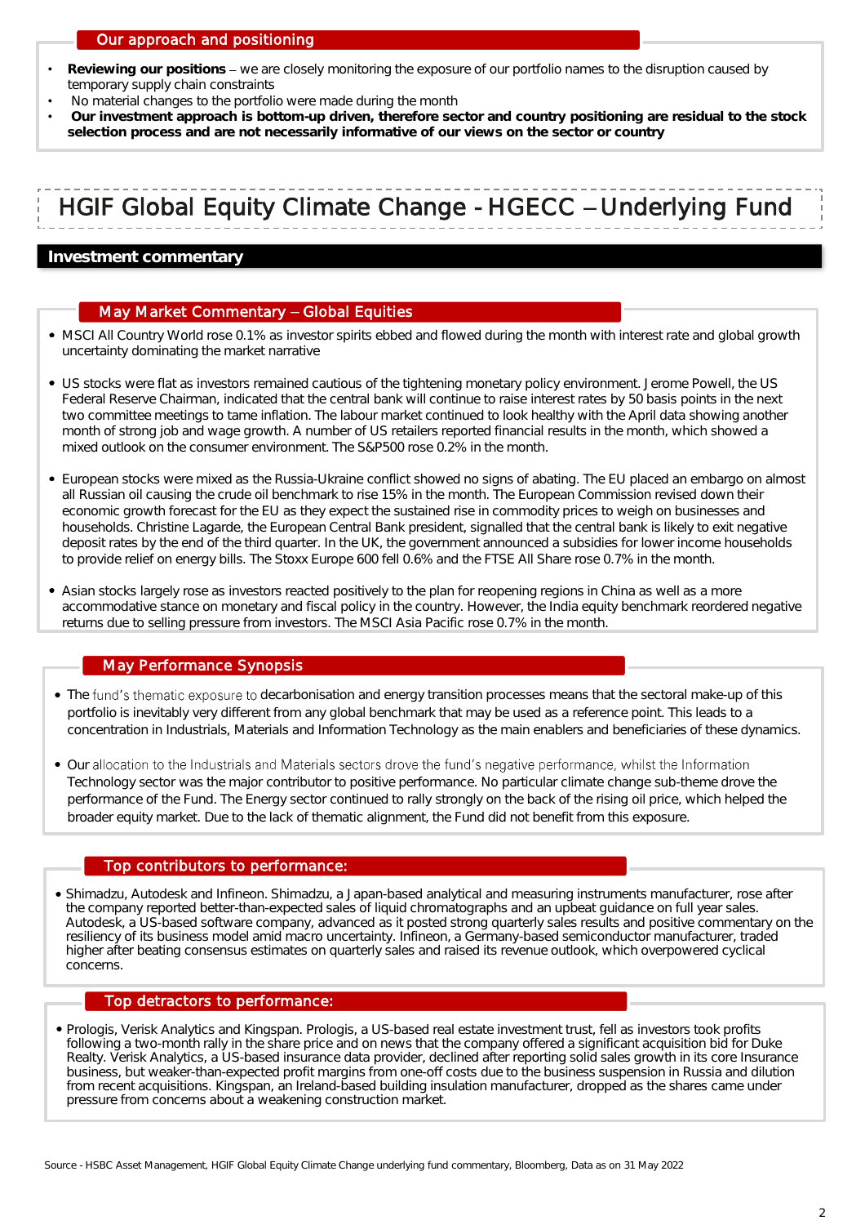### Our approach and positioning

- Reviewing our positions we are closely monitoring the exposure of our portfolio names to the disruption caused by temporary supply chain constraints
- No material changes to the portfolio were made during the month
- **Our investment approach is bottom-up driven, therefore sector and country positioning are residual to the stock selection process and are not necessarily informative of our views on the sector or country**

# HGIF Global Equity Climate Change - HGECC - Underlying Fund

### **Investment commentary**

### May Market Commentary - Global Equities

- MSCI All Country World rose 0.1% as investor spirits ebbed and flowed during the month with interest rate and global growth uncertainty dominating the market narrative
- US stocks were flat as investors remained cautious of the tightening monetary policy environment. Jerome Powell, the US Federal Reserve Chairman, indicated that the central bank will continue to raise interest rates by 50 basis points in the next two committee meetings to tame inflation. The labour market continued to look healthy with the April data showing another month of strong job and wage growth. A number of US retailers reported financial results in the month, which showed a mixed outlook on the consumer environment. The S&P500 rose 0.2% in the month.
- European stocks were mixed as the Russia-Ukraine conflict showed no signs of abating. The EU placed an embargo on almost all Russian oil causing the crude oil benchmark to rise 15% in the month. The European Commission revised down their economic growth forecast for the EU as they expect the sustained rise in commodity prices to weigh on businesses and households. Christine Lagarde, the European Central Bank president, signalled that the central bank is likely to exit negative deposit rates by the end of the third quarter. In the UK, the government announced a subsidies for lower income households to provide relief on energy bills. The Stoxx Europe 600 fell 0.6% and the FTSE All Share rose 0.7% in the month.
- Asian stocks largely rose as investors reacted positively to the plan for reopening regions in China as well as a more accommodative stance on monetary and fiscal policy in the country. However, the India equity benchmark reordered negative returns due to selling pressure from investors. The MSCI Asia Pacific rose 0.7% in the month.

### May Performance Synopsis

- The fund's thematic exposure to decarbonisation and energy transition processes means that the sectoral make-up of this portfolio is inevitably very different from any global benchmark that may be used as a reference point. This leads to a concentration in Industrials, Materials and Information Technology as the main enablers and beneficiaries of these dynamics.
- Our allocation to the Industrials and Materials sectors drove the fund's negative performance, whilst the Information Technology sector was the major contributor to positive performance. No particular climate change sub-theme drove the performance of the Fund. The Energy sector continued to rally strongly on the back of the rising oil price, which helped the broader equity market. Due to the lack of thematic alignment, the Fund did not benefit from this exposure.

### Top contributors to performance:

Shimadzu, Autodesk and Infineon. Shimadzu, a Japan-based analytical and measuring instruments manufacturer, rose after the company reported better-than-expected sales of liquid chromatographs and an upbeat guidance on full year sales. Autodesk, a US-based software company, advanced as it posted strong quarterly sales results and positive commentary on the resiliency of its business model amid macro uncertainty. Infineon, a Germany-based semiconductor manufacturer, traded higher after beating consensus estimates on quarterly sales and raised its revenue outlook, which overpowered cyclical concerns.

### Top detractors to performance:

Prologis, Verisk Analytics and Kingspan. Prologis, a US-based real estate investment trust, fell as investors took profits following a two-month rally in the share price and on news that the company offered a significant acquisition bid for Duke Realty. Verisk Analytics, a US-based insurance data provider, declined after reporting solid sales growth in its core Insurance business, but weaker-than-expected profit margins from one-off costs due to the business suspension in Russia and dilution from recent acquisitions. Kingspan, an Ireland-based building insulation manufacturer, dropped as the shares came under pressure from concerns about a weakening construction market.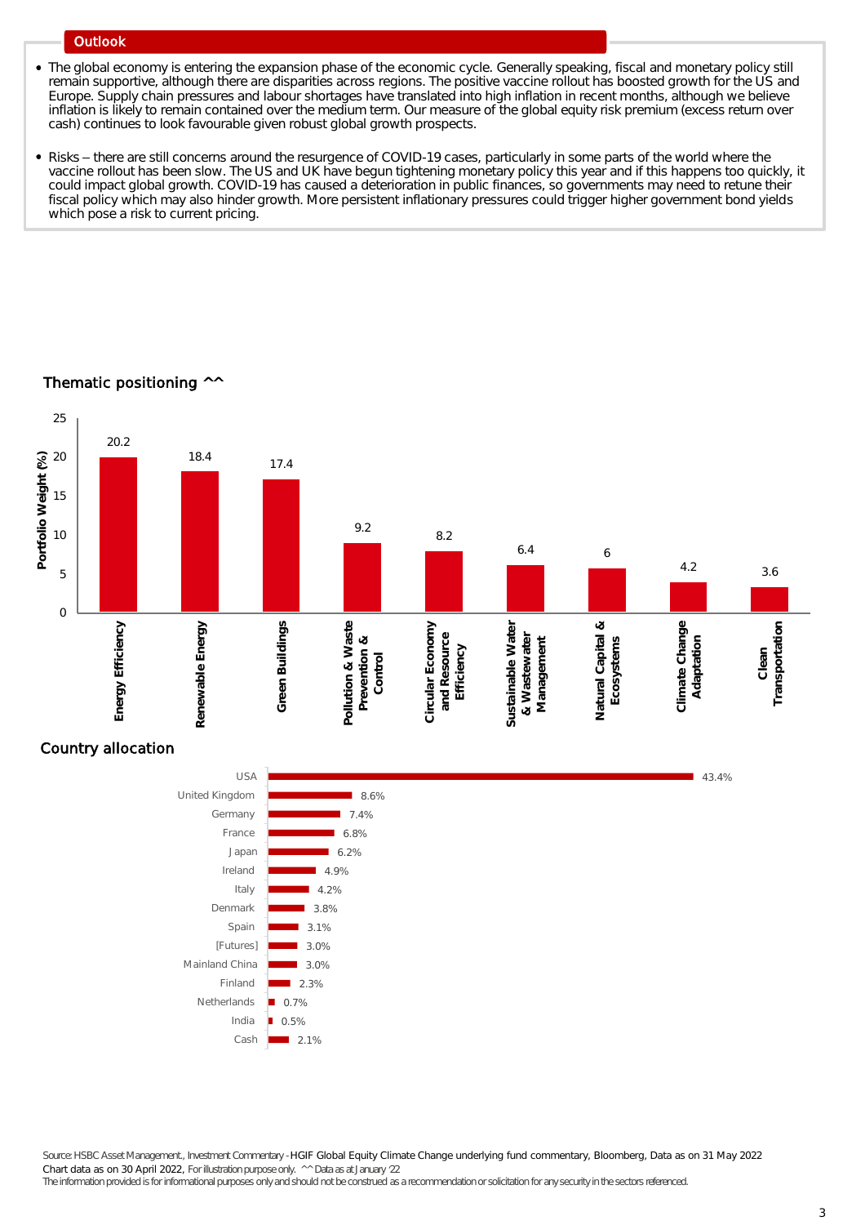### **Outlook**

- The global economy is entering the expansion phase of the economic cycle. Generally speaking, fiscal and monetary policy still remain supportive, although there are disparities across regions. The positive vaccine rollout has boosted growth for the US and Europe. Supply chain pressures and labour shortages have translated into high inflation in recent months, although we believe inflation is likely to remain contained over the medium term. Our measure of the global equity risk premium (excess return over cash) continues to look favourable given robust global growth prospects.
- Risks there are still concerns around the resurgence of COVID-19 cases, particularly in some parts of the world where the vaccine rollout has been slow. The US and UK have begun tightening monetary policy this year and if this happens too quickly, it could impact global growth. COVID-19 has caused a deterioration in public finances, so governments may need to retune their fiscal policy which may also hinder growth. More persistent inflationary pressures could trigger higher government bond yields which pose a risk to current pricing.

### Thematic positioning ^^



### Country allocation



Source: HSBC Asset Management., Investment Commentary -HGIF Global Equity Climate Change underlying fund commentary, Bloomberg, Data as on 31 May 2022 Chart data as on 30 April 2022, Forillustrationpurpose only. ^^ Data as at January 22

The information provided is for informational purposes only and should not be construed as a recommendation or solicitation for any security in the sectors referenced.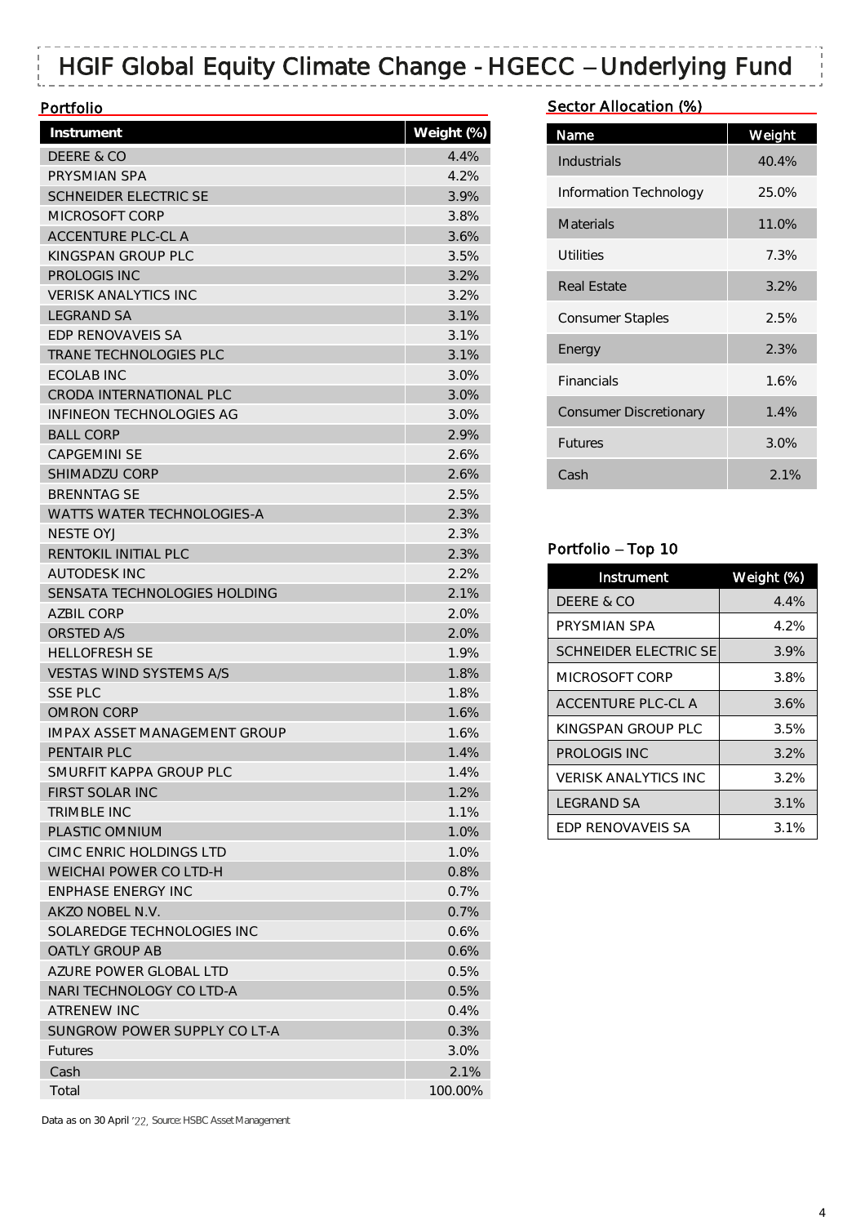# HGIF Global Equity Climate Change - HGECC - Underlying Fund

### **Portfolio**

| Instrument                          | Weight (%) |
|-------------------------------------|------------|
| DEERE & CO                          | 4.4%       |
| PRYSMIAN SPA                        | 4.2%       |
| <b>SCHNEIDER ELECTRIC SE</b>        | 3.9%       |
| MICROSOFT CORP                      | 3.8%       |
| <b>ACCENTURE PLC-CL A</b>           | 3.6%       |
| KINGSPAN GROUP PLC                  | 3.5%       |
| PROLOGIS INC                        | 3.2%       |
| <b>VERISK ANALYTICS INC</b>         | 3.2%       |
| <b>LEGRAND SA</b>                   | 3.1%       |
| <b>FDP RENOVAVEIS SA</b>            | 3.1%       |
| <b>TRANE TECHNOLOGIES PLC</b>       | 3.1%       |
| ECOLAB INC                          | 3.0%       |
| CRODA INTERNATIONAL PLC             | 3.0%       |
| INFINEON TECHNOLOGIES AG            | 3.0%       |
| <b>BALL CORP</b>                    | 2.9%       |
| <b>CAPGEMINI SE</b>                 | 2.6%       |
| <b>SHIMADZU CORP</b>                | 2.6%       |
| <b>BRENNTAG SE</b>                  | 2.5%       |
| <b>WATTS WATER TECHNOLOGIES-A</b>   | 2.3%       |
| NESTE OY.J                          | 2.3%       |
| RENTOKIL INITIAL PLC                | 2.3%       |
| <b>AUTODESK INC</b>                 | 2.2%       |
| SENSATA TECHNOLOGIES HOLDING        | 2.1%       |
| <b>AZBIL CORP</b>                   | 2.0%       |
| <b>ORSTED A/S</b>                   | 2.0%       |
| <b>HELLOFRESH SE</b>                | 1.9%       |
| <b>VESTAS WIND SYSTEMS A/S</b>      | 1.8%       |
| <b>SSE PLC</b>                      | 1.8%       |
| OMRON CORP                          | 1.6%       |
| <b>IMPAX ASSET MANAGEMENT GROUP</b> | 1.6%       |
| PENTAIR PLC                         | 1.4%       |
| SMURFIT KAPPA GROUP PLC             | 1.4%       |
| FIRST SOLAR INC                     | 1.2%       |
| <b>TRIMBLE INC</b>                  | 1.1%       |
| PLASTIC OMNIUM                      | 1.0%       |
| CIMC ENRIC HOLDINGS LTD             | 1.0%       |
| <b>WEICHAI POWER CO LTD-H</b>       | 0.8%       |
| <b>ENPHASE ENERGY INC</b>           | 0.7%       |
| AKZO NOBEL N.V.                     | 0.7%       |
| SOLAREDGE TECHNOLOGIES INC          | 0.6%       |
| <b>OATLY GROUP AB</b>               | 0.6%       |
|                                     |            |
| AZURE POWER GLOBAL LTD              | 0.5%       |
| NARI TECHNOLOGY CO LTD-A            | 0.5%       |
| ATRENEW INC                         | 0.4%       |
| SUNGROW POWER SUPPLY CO LT-A        | 0.3%       |
| <b>Futures</b>                      | 3.0%       |
| Cash                                | 2.1%       |
| Total                               | 100.00%    |

Sector Allocation (%)

| Name                          | Weight |
|-------------------------------|--------|
| Industrials                   | 40.4%  |
| Information Technology        | 25.0%  |
| Materials                     | 11.0%  |
| Utilities                     | 7.3%   |
| Real Estate                   | 3.2%   |
| <b>Consumer Staples</b>       | 2.5%   |
| Energy                        | 2.3%   |
| <b>Financials</b>             | 1.6%   |
| <b>Consumer Discretionary</b> | 1.4%   |
| <b>Futures</b>                | 3.0%   |
| Cash                          | 2.1%   |

### Portfolio - Top 10

| Instrument                  | Weight (%) |
|-----------------------------|------------|
| DEERE & CO                  | 4.4%       |
| PRYSMIAN SPA                | 4.2%       |
| SCHNEIDER ELECTRIC SE       | 3.9%       |
| MICROSOFT CORP              | 3.8%       |
| ACCENTURE PLC-CLA           | 3.6%       |
| KINGSPAN GROUP PLC          | 3.5%       |
| PROLOGIS INC                | 3.2%       |
| <b>VERISK ANALYTICS INC</b> | 3.2%       |
| <b>LEGRAND SA</b>           | 3.1%       |
| <b>FDP RENOVAVEIS SA</b>    | 3.1%       |

Data as on 30 April '22, Source: HSBC Asset Management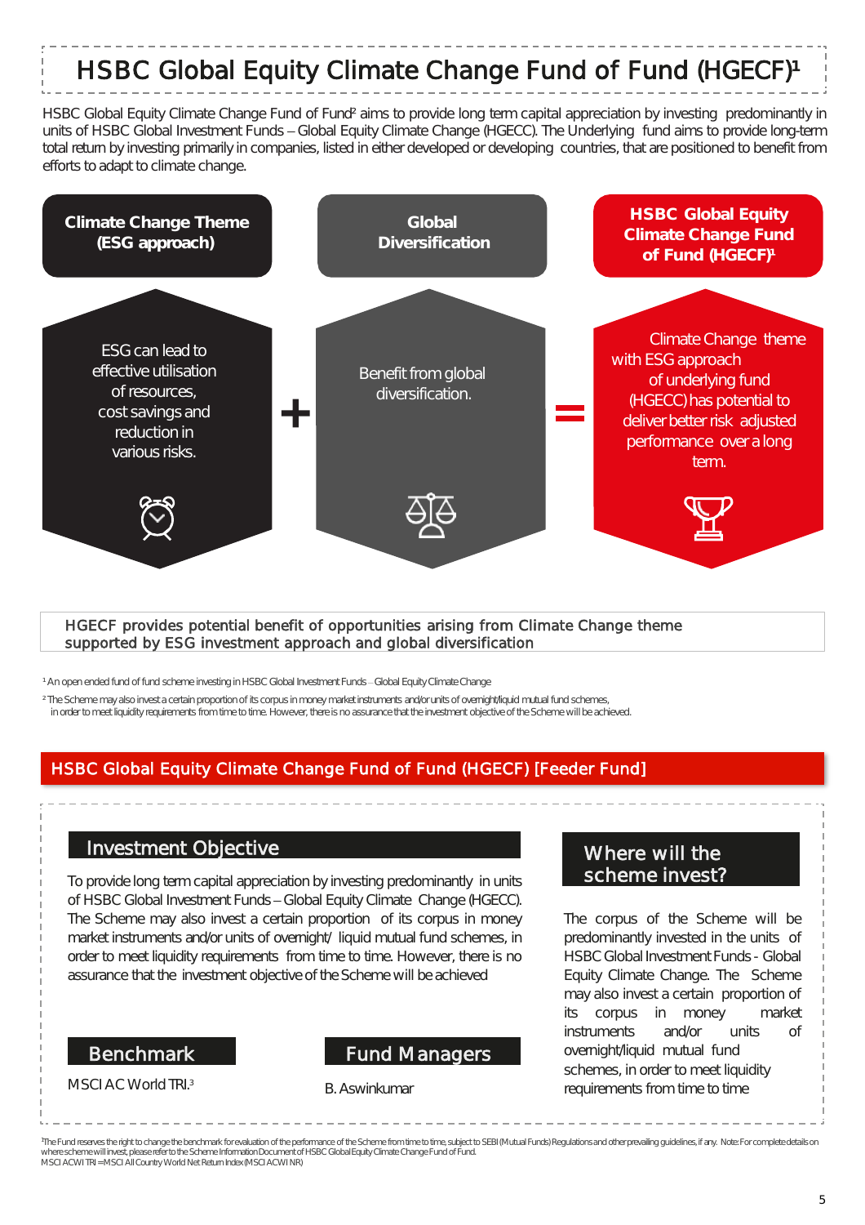# HSBC Global Equity Climate Change Fund of Fund (HGECF)<sup>1</sup>

HSBC Global Equity Climate Change Fund of Fund² aims to provide long term capital appreciation by investing predominantly in units of HSBC Global Investment Funds - Global Equity Climate Change (HGECC). The Underlying fund aims to provide long-term total return by investing primarily in companies, listed in either developed or developing countries, that are positioned to benefit from efforts to adapt to climate change.



### HGECF provides potential benefit of opportunities arising from Climate Change theme supported by ESG investment approach and global diversification

<sup>1</sup> An open ended fund of fund scheme investing in HSBC Global Investment Funds - Global Equity Climate Change

<sup>2</sup> The Scheme may also invest a certain proportion of its corpus in money market instruments and/or units of overnight/liquid mutual fund schemes, in order to meet liquidity requirements from time to time. However, there is no assurance that the investment objective of the Scheme will be achieved.

### HSBC Global Equity Climate Change Fund of Fund (HGECF) [Feeder Fund]

### Investment Objective

To provide long term capital appreciation by investing predominantly in units of HSBC Global Investment Funds - Global Equity Climate Change (HGECC). The Scheme may also invest a certain proportion of its corpus in money market instruments and/or units of overnight/ liquid mutual fund schemes, in order to meet liquidity requirements from time to time. However, there is no assurance that the investment objective of the Scheme will be achieved

### Benchmark

MSCI AC World TRI.3

### Fund Managers

### B. Aswinkumar

### Where will the scheme invest?

The corpus of the Scheme will be predominantly invested in the units of HSBC Global Investment Funds - Global Equity Climate Change. The Scheme may also invest a certain proportion of its corpus in money market instruments and/or units of overnight/liquid mutual fund schemes, in order to meet liquidity requirements from time to time

The Fund reserves the right to change the benchmark for evaluation of the performance of the Scheme from time to time, subject to SEBI (Mutual Funds) Regulations and other prevailing guidelines, if any. Note: For complete MSCI ACWI TRI = MSCI AII Country World Net Return Index (MSCI ACWI NR)